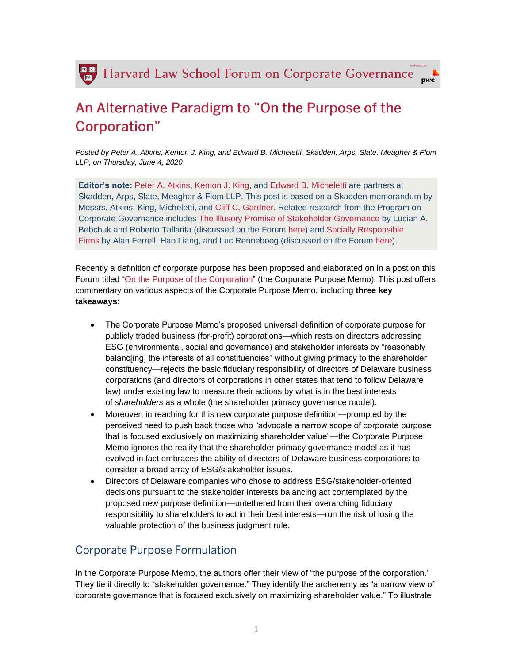

## An Alternative Paradigm to "On the Purpose of the Corporation"

*Posted by Peter A. Atkins, Kenton J. King, and Edward B. Micheletti, Skadden, Arps, Slate, Meagher & Flom LLP, on Thursday, June 4, 2020*

**Editor's note:** [Peter A. Atkins,](https://www.skadden.com/professionals/a/atkins-peter-a) [Kenton J. King,](https://www.skadden.com/professionals/k/king-kenton-j) and [Edward B. Micheletti](https://www.skadden.com/professionals/m/micheletti-edward-b) are partners at Skadden, Arps, Slate, Meagher & Flom LLP. This post is based on a Skadden memorandum by Messrs. Atkins, King, Micheletti, and [Cliff C. Gardner.](https://www.skadden.com/professionals/g/gardner-cliff-c) Related research from the Program on Corporate Governance includes [The Illusory Promise of Stakeholder Governance](https://papers.ssrn.com/sol3/papers.cfm?abstract_id=3544978) by Lucian A. Bebchuk and Roberto Tallarita (discussed on the Forum [here\)](https://corpgov.law.harvard.edu/2020/03/02/the-illusory-promise-of-stakeholder-governance/) and [Socially Responsible](https://papers.ssrn.com/sol3/papers.cfm?abstract_id=2464561)  [Firms](https://papers.ssrn.com/sol3/papers.cfm?abstract_id=2464561) by Alan Ferrell, Hao Liang, and Luc Renneboog (discussed on the Forum [here\)](https://corpgov.law.harvard.edu/2014/08/06/socially-responsible-firms/).

Recently a definition of corporate purpose has been proposed and elaborated on in a post on this Forum titled ["On the Purpose of the Corporation"](https://corpgov.law.harvard.edu/2020/05/27/on-the-purpose-of-the-corporation/) (the Corporate Purpose Memo). This post offers commentary on various aspects of the Corporate Purpose Memo, including **three key takeaways**:

- The Corporate Purpose Memo's proposed universal definition of corporate purpose for publicly traded business (for-profit) corporations—which rests on directors addressing ESG (environmental, social and governance) and stakeholder interests by "reasonably balanc[ing] the interests of all constituencies" without giving primacy to the shareholder constituency—rejects the basic fiduciary responsibility of directors of Delaware business corporations (and directors of corporations in other states that tend to follow Delaware law) under existing law to measure their actions by what is in the best interests of *shareholders* as a whole (the shareholder primacy governance model).
- Moreover, in reaching for this new corporate purpose definition—prompted by the perceived need to push back those who "advocate a narrow scope of corporate purpose that is focused exclusively on maximizing shareholder value"—the Corporate Purpose Memo ignores the reality that the shareholder primacy governance model as it has evolved in fact embraces the ability of directors of Delaware business corporations to consider a broad array of ESG/stakeholder issues.
- Directors of Delaware companies who chose to address ESG/stakeholder-oriented decisions pursuant to the stakeholder interests balancing act contemplated by the proposed new purpose definition—untethered from their overarching fiduciary responsibility to shareholders to act in their best interests—run the risk of losing the valuable protection of the business judgment rule.

## **Corporate Purpose Formulation**

In the Corporate Purpose Memo, the authors offer their view of "the purpose of the corporation." They tie it directly to "stakeholder governance." They identify the archenemy as "a narrow view of corporate governance that is focused exclusively on maximizing shareholder value." To illustrate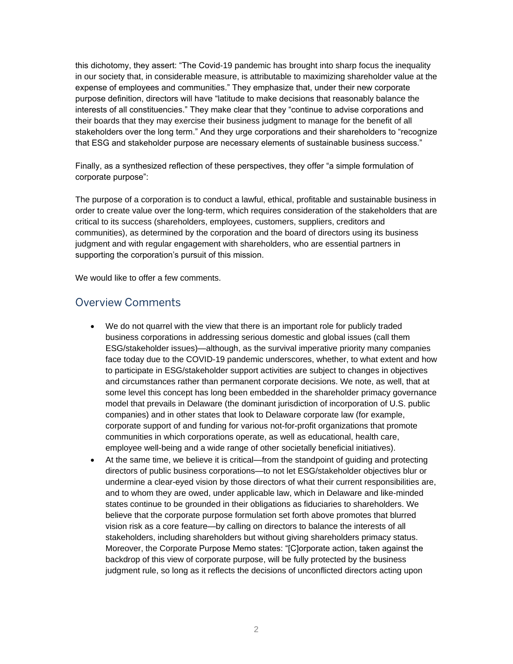this dichotomy, they assert: "The Covid-19 pandemic has brought into sharp focus the inequality in our society that, in considerable measure, is attributable to maximizing shareholder value at the expense of employees and communities." They emphasize that, under their new corporate purpose definition, directors will have "latitude to make decisions that reasonably balance the interests of all constituencies." They make clear that they "continue to advise corporations and their boards that they may exercise their business judgment to manage for the benefit of all stakeholders over the long term." And they urge corporations and their shareholders to "recognize that ESG and stakeholder purpose are necessary elements of sustainable business success."

Finally, as a synthesized reflection of these perspectives, they offer "a simple formulation of corporate purpose":

The purpose of a corporation is to conduct a lawful, ethical, profitable and sustainable business in order to create value over the long-term, which requires consideration of the stakeholders that are critical to its success (shareholders, employees, customers, suppliers, creditors and communities), as determined by the corporation and the board of directors using its business judgment and with regular engagement with shareholders, who are essential partners in supporting the corporation's pursuit of this mission.

We would like to offer a few comments.

## **Overview Comments**

- We do not quarrel with the view that there is an important role for publicly traded business corporations in addressing serious domestic and global issues (call them ESG/stakeholder issues)—although, as the survival imperative priority many companies face today due to the COVID-19 pandemic underscores, whether, to what extent and how to participate in ESG/stakeholder support activities are subject to changes in objectives and circumstances rather than permanent corporate decisions. We note, as well, that at some level this concept has long been embedded in the shareholder primacy governance model that prevails in Delaware (the dominant jurisdiction of incorporation of U.S. public companies) and in other states that look to Delaware corporate law (for example, corporate support of and funding for various not-for-profit organizations that promote communities in which corporations operate, as well as educational, health care, employee well-being and a wide range of other societally beneficial initiatives).
- At the same time, we believe it is critical—from the standpoint of guiding and protecting directors of public business corporations—to not let ESG/stakeholder objectives blur or undermine a clear-eyed vision by those directors of what their current responsibilities are, and to whom they are owed, under applicable law, which in Delaware and like-minded states continue to be grounded in their obligations as fiduciaries to shareholders. We believe that the corporate purpose formulation set forth above promotes that blurred vision risk as a core feature—by calling on directors to balance the interests of all stakeholders, including shareholders but without giving shareholders primacy status. Moreover, the Corporate Purpose Memo states: "[C]orporate action, taken against the backdrop of this view of corporate purpose, will be fully protected by the business judgment rule, so long as it reflects the decisions of unconflicted directors acting upon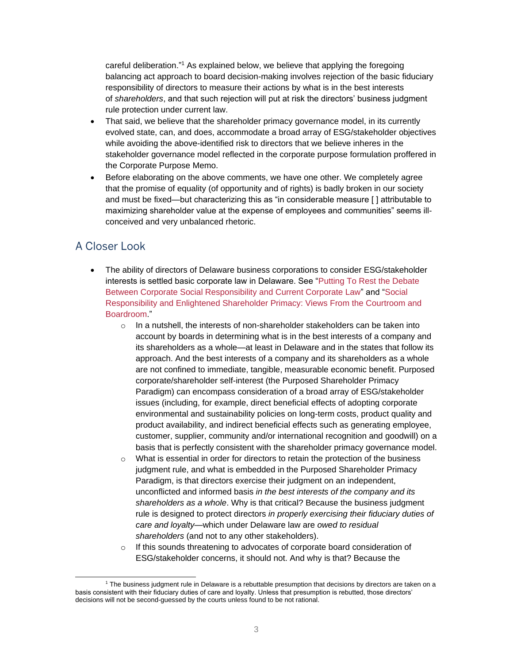careful deliberation."<sup>1</sup> As explained below, we believe that applying the foregoing balancing act approach to board decision-making involves rejection of the basic fiduciary responsibility of directors to measure their actions by what is in the best interests of *shareholders*, and that such rejection will put at risk the directors' business judgment rule protection under current law.

- That said, we believe that the shareholder primacy governance model, in its currently evolved state, can, and does, accommodate a broad array of ESG/stakeholder objectives while avoiding the above-identified risk to directors that we believe inheres in the stakeholder governance model reflected in the corporate purpose formulation proffered in the Corporate Purpose Memo.
- Before elaborating on the above comments, we have one other. We completely agree that the promise of equality (of opportunity and of rights) is badly broken in our society and must be fixed—but characterizing this as "in considerable measure [ ] attributable to maximizing shareholder value at the expense of employees and communities" seems illconceived and very unbalanced rhetoric.

## A Closer Look

- The ability of directors of Delaware business corporations to consider ESG/stakeholder interests is settled basic corporate law in Delaware. See ["Putting To Rest the Debate](https://www.skadden.com/insights/publications/2019/08/putting-to-rest-the-debate)  [Between Corporate Social Responsibility and Current Corporate Law"](https://www.skadden.com/insights/publications/2019/08/putting-to-rest-the-debate) and ["Social](https://www.skadden.com/insights/publications/2019/02/social-responsibility-and-enlightened-shareholder)  [Responsibility and Enlightened Shareholder Primacy: Views From the Courtroom and](https://www.skadden.com/insights/publications/2019/02/social-responsibility-and-enlightened-shareholder)  [Boardroom.](https://www.skadden.com/insights/publications/2019/02/social-responsibility-and-enlightened-shareholder)"
	- $\circ$  In a nutshell, the interests of non-shareholder stakeholders can be taken into account by boards in determining what is in the best interests of a company and its shareholders as a whole—at least in Delaware and in the states that follow its approach. And the best interests of a company and its shareholders as a whole are not confined to immediate, tangible, measurable economic benefit. Purposed corporate/shareholder self-interest (the Purposed Shareholder Primacy Paradigm) can encompass consideration of a broad array of ESG/stakeholder issues (including, for example, direct beneficial effects of adopting corporate environmental and sustainability policies on long-term costs, product quality and product availability, and indirect beneficial effects such as generating employee, customer, supplier, community and/or international recognition and goodwill) on a basis that is perfectly consistent with the shareholder primacy governance model.
	- $\circ$  What is essential in order for directors to retain the protection of the business judgment rule, and what is embedded in the Purposed Shareholder Primacy Paradigm, is that directors exercise their judgment on an independent, unconflicted and informed basis *in the best interests of the company and its shareholders as a whole*. Why is that critical? Because the business judgment rule is designed to protect directors *in properly exercising their fiduciary duties of care and loyalty*—which under Delaware law are *owed to residual shareholders* (and not to any other stakeholders).
	- o If this sounds threatening to advocates of corporate board consideration of ESG/stakeholder concerns, it should not. And why is that? Because the

<sup>&</sup>lt;sup>1</sup> The business judgment rule in Delaware is a rebuttable presumption that decisions by directors are taken on a basis consistent with their fiduciary duties of care and loyalty. Unless that presumption is rebutted, those directors' decisions will not be second-guessed by the courts unless found to be not rational.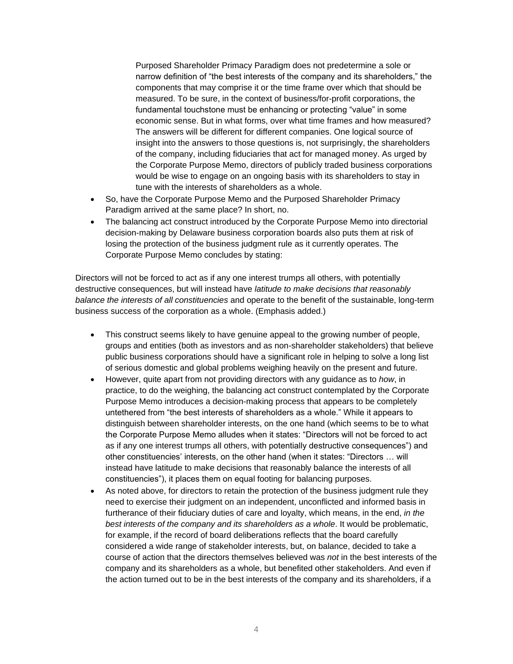Purposed Shareholder Primacy Paradigm does not predetermine a sole or narrow definition of "the best interests of the company and its shareholders," the components that may comprise it or the time frame over which that should be measured. To be sure, in the context of business/for-profit corporations, the fundamental touchstone must be enhancing or protecting "value" in some economic sense. But in what forms, over what time frames and how measured? The answers will be different for different companies. One logical source of insight into the answers to those questions is, not surprisingly, the shareholders of the company, including fiduciaries that act for managed money. As urged by the Corporate Purpose Memo, directors of publicly traded business corporations would be wise to engage on an ongoing basis with its shareholders to stay in tune with the interests of shareholders as a whole.

- So, have the Corporate Purpose Memo and the Purposed Shareholder Primacy Paradigm arrived at the same place? In short, no.
- The balancing act construct introduced by the Corporate Purpose Memo into directorial decision-making by Delaware business corporation boards also puts them at risk of losing the protection of the business judgment rule as it currently operates. The Corporate Purpose Memo concludes by stating:

Directors will not be forced to act as if any one interest trumps all others, with potentially destructive consequences, but will instead have *latitude to make decisions that reasonably balance the interests of all constituencies* and operate to the benefit of the sustainable, long-term business success of the corporation as a whole. (Emphasis added.)

- This construct seems likely to have genuine appeal to the growing number of people, groups and entities (both as investors and as non-shareholder stakeholders) that believe public business corporations should have a significant role in helping to solve a long list of serious domestic and global problems weighing heavily on the present and future.
- However, quite apart from not providing directors with any guidance as to *how*, in practice, to do the weighing, the balancing act construct contemplated by the Corporate Purpose Memo introduces a decision-making process that appears to be completely untethered from "the best interests of shareholders as a whole." While it appears to distinguish between shareholder interests, on the one hand (which seems to be to what the Corporate Purpose Memo alludes when it states: "Directors will not be forced to act as if any one interest trumps all others, with potentially destructive consequences") and other constituencies' interests, on the other hand (when it states: "Directors … will instead have latitude to make decisions that reasonably balance the interests of all constituencies"), it places them on equal footing for balancing purposes.
- As noted above, for directors to retain the protection of the business judgment rule they need to exercise their judgment on an independent, unconflicted and informed basis in furtherance of their fiduciary duties of care and loyalty, which means, in the end, *in the best interests of the company and its shareholders as a whole*. It would be problematic, for example, if the record of board deliberations reflects that the board carefully considered a wide range of stakeholder interests, but, on balance, decided to take a course of action that the directors themselves believed was *not* in the best interests of the company and its shareholders as a whole, but benefited other stakeholders. And even if the action turned out to be in the best interests of the company and its shareholders, if a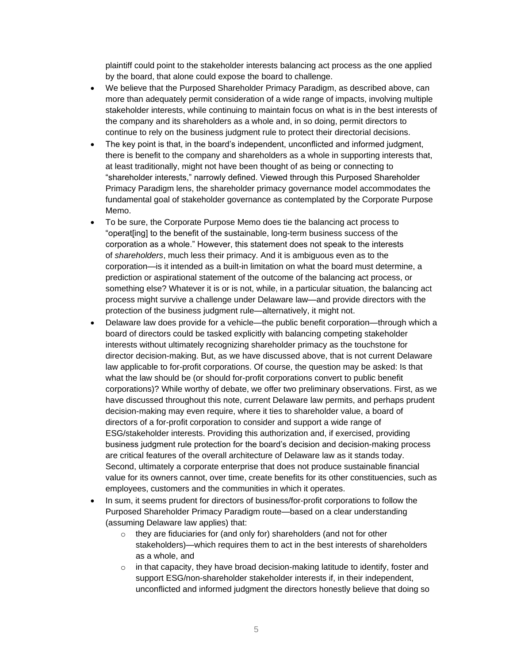plaintiff could point to the stakeholder interests balancing act process as the one applied by the board, that alone could expose the board to challenge.

- We believe that the Purposed Shareholder Primacy Paradigm, as described above, can more than adequately permit consideration of a wide range of impacts, involving multiple stakeholder interests, while continuing to maintain focus on what is in the best interests of the company and its shareholders as a whole and, in so doing, permit directors to continue to rely on the business judgment rule to protect their directorial decisions.
- The key point is that, in the board's independent, unconflicted and informed judgment, there is benefit to the company and shareholders as a whole in supporting interests that, at least traditionally, might not have been thought of as being or connecting to "shareholder interests," narrowly defined. Viewed through this Purposed Shareholder Primacy Paradigm lens, the shareholder primacy governance model accommodates the fundamental goal of stakeholder governance as contemplated by the Corporate Purpose Memo.
- To be sure, the Corporate Purpose Memo does tie the balancing act process to "operat[ing] to the benefit of the sustainable, long-term business success of the corporation as a whole." However, this statement does not speak to the interests of *shareholders*, much less their primacy. And it is ambiguous even as to the corporation—is it intended as a built-in limitation on what the board must determine, a prediction or aspirational statement of the outcome of the balancing act process, or something else? Whatever it is or is not, while, in a particular situation, the balancing act process might survive a challenge under Delaware law—and provide directors with the protection of the business judgment rule—alternatively, it might not.
- Delaware law does provide for a vehicle—the public benefit corporation—through which a board of directors could be tasked explicitly with balancing competing stakeholder interests without ultimately recognizing shareholder primacy as the touchstone for director decision-making. But, as we have discussed above, that is not current Delaware law applicable to for-profit corporations. Of course, the question may be asked: Is that what the law should be (or should for-profit corporations convert to public benefit corporations)? While worthy of debate, we offer two preliminary observations. First, as we have discussed throughout this note, current Delaware law permits, and perhaps prudent decision-making may even require, where it ties to shareholder value, a board of directors of a for-profit corporation to consider and support a wide range of ESG/stakeholder interests. Providing this authorization and, if exercised, providing business judgment rule protection for the board's decision and decision-making process are critical features of the overall architecture of Delaware law as it stands today. Second, ultimately a corporate enterprise that does not produce sustainable financial value for its owners cannot, over time, create benefits for its other constituencies, such as employees, customers and the communities in which it operates.
- In sum, it seems prudent for directors of business/for-profit corporations to follow the Purposed Shareholder Primacy Paradigm route—based on a clear understanding (assuming Delaware law applies) that:
	- o they are fiduciaries for (and only for) shareholders (and not for other stakeholders)—which requires them to act in the best interests of shareholders as a whole, and
	- $\circ$  in that capacity, they have broad decision-making latitude to identify, foster and support ESG/non-shareholder stakeholder interests if, in their independent, unconflicted and informed judgment the directors honestly believe that doing so